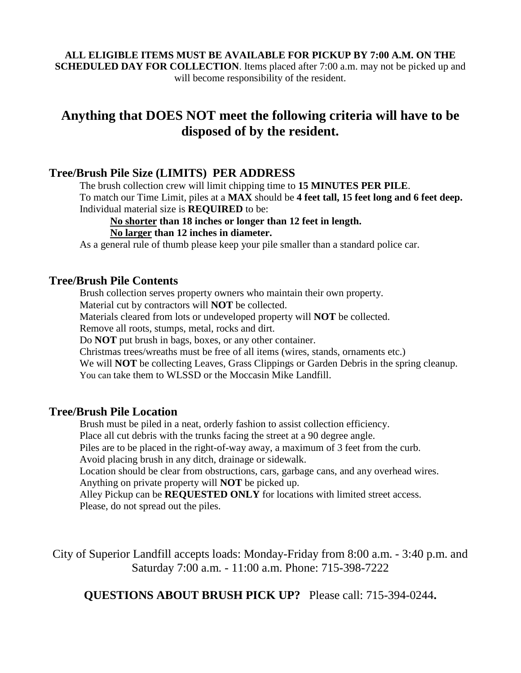#### **ALL ELIGIBLE ITEMS MUST BE AVAILABLE FOR PICKUP BY 7:00 A.M. ON THE SCHEDULED DAY FOR COLLECTION**. Items placed after 7:00 a.m. may not be picked up and will become responsibility of the resident.

# **Anything that DOES NOT meet the following criteria will have to be disposed of by the resident.**

## **Tree/Brush Pile Size (LIMITS) PER ADDRESS**

The brush collection crew will limit chipping time to **15 MINUTES PER PILE**. To match our Time Limit, piles at a **MAX** should be **4 feet tall, 15 feet long and 6 feet deep.** Individual material size is **REQUIRED** to be:

#### **No shorter than 18 inches or longer than 12 feet in length.**

#### **No larger than 12 inches in diameter.**

As a general rule of thumb please keep your pile smaller than a standard police car.

### **Tree/Brush Pile Contents**

Brush collection serves property owners who maintain their own property.

Material cut by contractors will **NOT** be collected.

Materials cleared from lots or undeveloped property will **NOT** be collected.

Remove all roots, stumps, metal, rocks and dirt.

Do **NOT** put brush in bags, boxes, or any other container.

Christmas trees/wreaths must be free of all items (wires, stands, ornaments etc.)

We will **NOT** be collecting Leaves, Grass Clippings or Garden Debris in the spring cleanup. You can take them to WLSSD or the Moccasin Mike Landfill.

### **Tree/Brush Pile Location**

Brush must be piled in a neat, orderly fashion to assist collection efficiency.

Place all cut debris with the trunks facing the street at a 90 degree angle.

Piles are to be placed in the right-of-way away, a maximum of 3 feet from the curb.

Avoid placing brush in any ditch, drainage or sidewalk.

Location should be clear from obstructions, cars, garbage cans, and any overhead wires. Anything on private property will **NOT** be picked up.

Alley Pickup can be **REQUESTED ONLY** for locations with limited street access. Please, do not spread out the piles.

City of Superior Landfill accepts loads: Monday-Friday from 8:00 a.m. - 3:40 p.m. and Saturday 7:00 a.m. - 11:00 a.m. Phone: 715-398-7222

# **QUESTIONS ABOUT BRUSH PICK UP?** Please call: 715-394-0244**.**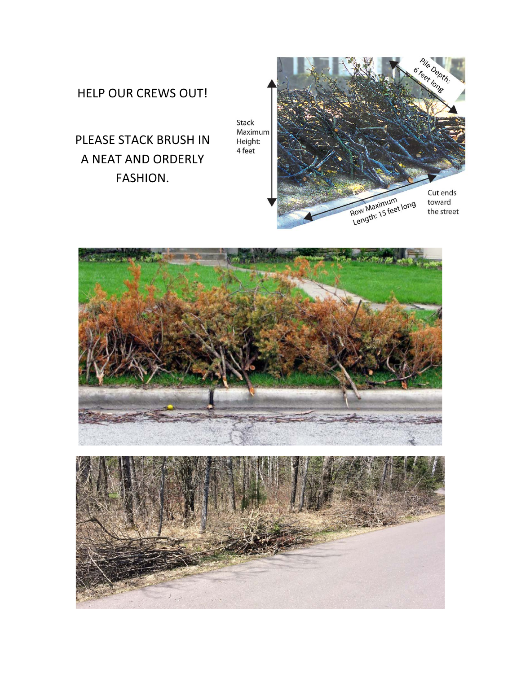# HELP OUR CREWS OUT!

PLEASE STACK BRUSH IN A NEAT AND ORDERLY FASHION.